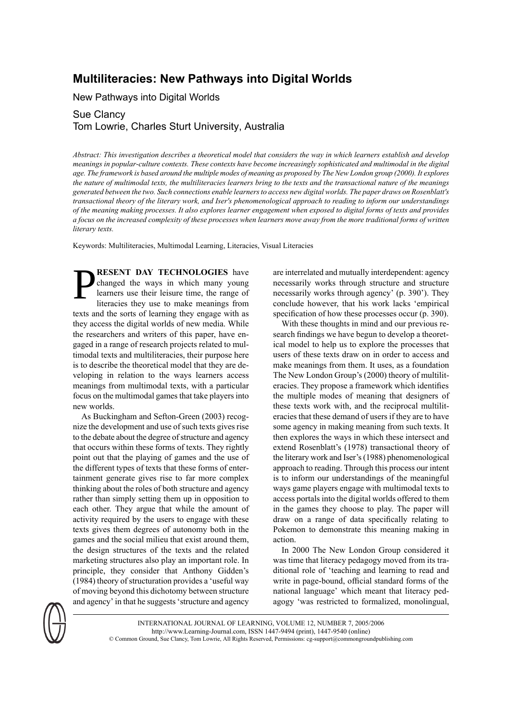## **Multiliteracies: New Pathways into Digital Worlds**

New Pathways into Digital Worlds

## Sue Clancy Tom Lowrie, Charles Sturt University, Australia

Abstract: This investigation describes a theoretical model that considers the way in which learners establish and develop meanings in popular-culture contexts. These contexts have become increasingly sophisticated and multimodal in the digital age. The framework is based around the multiple modes of meaning as proposed by The New London group (2000). It explores the nature of multimodal texts, the multiliteracies learners bring to the texts and the transactional nature of the meanings generated between the two. Such connections enable learners to access new digital worlds. The paper draws on Rosenblatt's transactional theory of the literary work, and Iser's phenomenological approach to reading to inform our understandings of the meaning making processes. It also explores learner engagement when exposed to digital forms of texts and provides a focus on the increased complexity of these processes when learners move away from the more traditional forms of written *literary texts.*

Keywords: Multiliteracies, Multimodal Learning, Literacies, Visual Literacies

P **RESENT DAY TECHNOLOGIES** have changed the ways in which many young learners use their leisure time, the range of literacies they use to make meanings from texts and the sorts of learning they engage with as they access the digital worlds of new media. While the researchers and writers of this paper, have engaged in a range of research projects related to multimodal texts and multiliteracies, their purpose here is to describe the theoretical model that they are developing in relation to the ways learners access meanings from multimodal texts, with a particular focus on the multimodal games that take players into new worlds.

As Buckingham and Sefton-Green (2003) recognize the development and use of such texts gives rise to the debate about the degree of structure and agency that occurs within these forms of texts. They rightly point out that the playing of games and the use of the different types of texts that these forms of entertainment generate gives rise to far more complex thinking about the roles of both structure and agency rather than simply setting them up in opposition to each other. They argue that while the amount of activity required by the users to engage with these texts gives them degrees of autonomy both in the games and the social milieu that exist around them, the design structures of the texts and the related marketing structures also play an important role. In principle, they consider that Anthony Gidden's  $(1984)$  theory of structuration provides a 'useful way of moving beyond this dichotomy between structure and agency' in that he suggests'structure and agency

are interrelated and mutually interdependent: agency necessarily works through structure and structure necessarily works through agency' (p. 390'). They conclude however, that his work lacks 'empirical specification of how these processes occur (p. 390).

With these thoughts in mind and our previous research findings we have begun to develop a theoretical model to help us to explore the processes that users of these texts draw on in order to access and make meanings from them. It uses, as a foundation The New London Group's (2000) theory of multiliteracies. They propose a framework which identifies the multiple modes of meaning that designers of these texts work with, and the reciprocal multiliteracies that these demand of users if they are to have some agency in making meaning from such texts. It then explores the ways in which these intersect and extend Rosenblatt's (1978) transactional theory of the literary work and Iser's(1988) phenomenological approach to reading. Through this process our intent is to inform our understandings of the meaningful ways game players engage with multimodal texts to access portals into the digital worlds offered to them in the games they choose to play. The paper will draw on a range of data specifically relating to Pokemon to demonstrate this meaning making in action.

In 2000 The New London Group considered it was time that literacy pedagogy moved from its traditional role of 'teaching and learning to read and write in page-bound, official standard forms of the national language' which meant that literacy pedagogy 'was restricted to formalized, monolingual,



INTERNATIONAL JOURNAL OF LEARNING, VOLUME 12, NUMBER 7, 2005/2006 http://www.Learning-Journal.com, ISSN 1447-9494 (print), 1447-9540 (online) © Common Ground, Sue Clancy, Tom Lowrie, All Rights Reserved, Permissions: cg-support@commongroundpublishing.com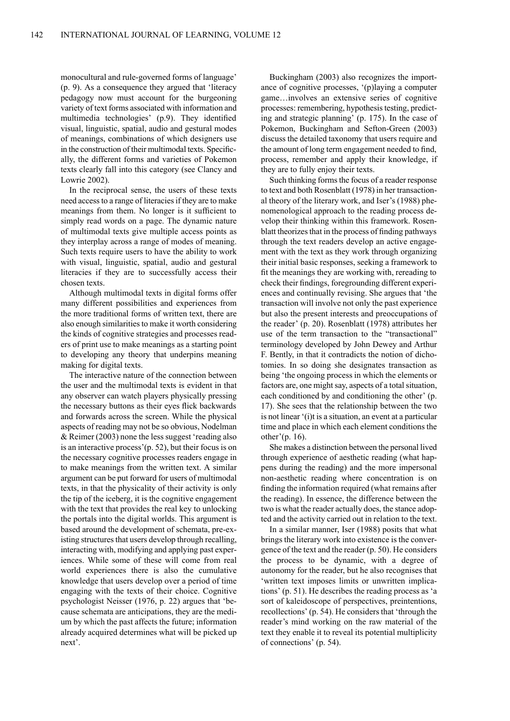monocultural and rule-governed forms of language' (p. 9). As a consequence they argued that 'literacy pedagogy now must account for the burgeoning variety of text forms associated with information and multimedia technologies' (p.9). They identified visual, linguistic, spatial, audio and gestural modes of meanings, combinations of which designers use in the construction of their multimodal texts. Specifically, the different forms and varieties of Pokemon texts clearly fall into this category (see Clancy and Lowrie 2002).

In the reciprocal sense, the users of these texts need accessto a range of literaciesif they are to make meanings from them. No longer is it sufficient to simply read words on a page. The dynamic nature of multimodal texts give multiple access points as they interplay across a range of modes of meaning. Such texts require users to have the ability to work with visual, linguistic, spatial, audio and gestural literacies if they are to successfully access their chosen texts.

Although multimodal texts in digital forms offer many different possibilities and experiences from the more traditional forms of written text, there are also enough similarities to make it worth considering the kinds of cognitive strategies and processes readers of print use to make meanings as a starting point to developing any theory that underpins meaning making for digital texts.

The interactive nature of the connection between the user and the multimodal texts is evident in that any observer can watch players physically pressing the necessary buttons as their eyes flick backwards and forwards across the screen. While the physical aspects of reading may not be so obvious, Nodelman & Reimer (2003) none the less suggest 'reading also is an interactive process'(p. 52), but their focus is on the necessary cognitive processes readers engage in to make meanings from the written text. A similar argument can be put forward for users of multimodal texts, in that the physicality of their activity is only the tip of the iceberg, it is the cognitive engagement with the text that provides the real key to unlocking the portals into the digital worlds. This argument is based around the development of schemata, pre-existing structures that users develop through recalling. interacting with, modifying and applying past experiences. While some of these will come from real world experiences there is also the cumulative knowledge that users develop over a period of time engaging with the texts of their choice. Cognitive psychologist Neisser (1976, p. 22) argues that 'because schemata are anticipations, they are the medium by which the past affects the future; information already acquired determines what will be picked up next'.

Buckingham (2003) also recognizes the importance of cognitive processes, '(p)laying a computer game…involves an extensive series of cognitive processes: remembering, hypothesis testing, predicting and strategic planning' (p. 175). In the case of Pokemon, Buckingham and Sefton-Green (2003) discuss the detailed taxonomy that users require and the amount of long term engagement needed to find, process, remember and apply their knowledge, if they are to fully enjoy their texts.

Such thinking forms the focus of a reader response to text and both Rosenblatt (1978) in her transactional theory of the literary work, and Iser's (1988) phenomenological approach to the reading process develop their thinking within this framework. Rosenblatt theorizes that in the process of finding pathways through the text readers develop an active engagement with the text as they work through organizing their initial basic responses, seeking a framework to fit the meanings they are working with, rereading to check their findings, foregrounding different experiences and continually revising. She argues that 'the transaction will involve not only the past experience but also the present interests and preoccupations of the reader' (p. 20). Rosenblatt (1978) attributes her use of the term transaction to the "transactional" terminology developed by John Dewey and Arthur F. Bently, in that it contradicts the notion of dichotomies. In so doing she designates transaction as being 'the ongoing process in which the elements or factors are, one might say, aspects of a total situation, each conditioned by and conditioning the other' (p. 17). She sees that the relationship between the two is not linear '(i)t is a situation, an event at a particular time and place in which each element conditions the other'(p. 16).

She makes a distinction between the personal lived through experience of aesthetic reading (what happens during the reading) and the more impersonal non-aesthetic reading where concentration is on finding the information required (what remains after the reading). In essence, the difference between the two is what the reader actually does, the stance adopted and the activity carried out in relation to the text.

In a similar manner, Iser (1988) posits that what brings the literary work into existence is the convergence of the text and the reader (p. 50). He considers the process to be dynamic, with a degree of autonomy for the reader, but he also recognises that 'written text imposes limits or unwritten implications' (p. 51). He describes the reading process as 'a sort of kaleidoscope of perspectives, preintentions, recollections' (p. 54). He considers that 'through the reader's mind working on the raw material of the text they enable it to reveal its potential multiplicity of connections' (p. 54).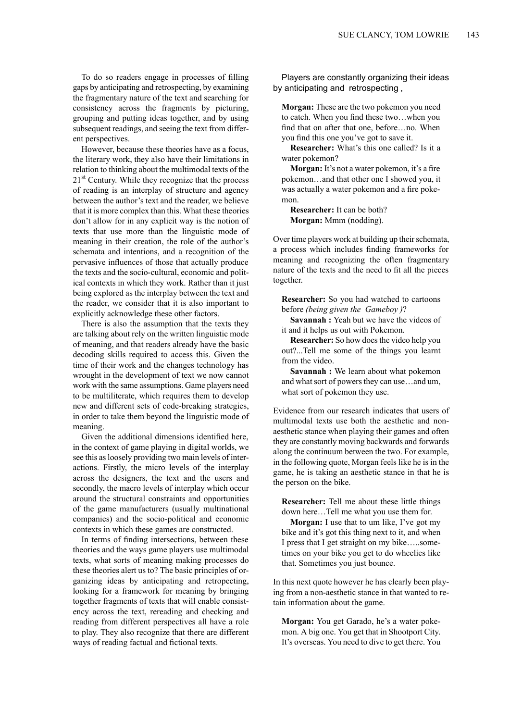To do so readers engage in processes of filling gaps by anticipating and retrospecting, by examining the fragmentary nature of the text and searching for consistency across the fragments by picturing, grouping and putting ideas together, and by using subsequent readings, and seeing the text from different perspectives.

However, because these theories have as a focus, the literary work, they also have their limitations in relation to thinking about the multimodal texts of the  $21<sup>st</sup>$  Century. While they recognize that the process of reading is an interplay of structure and agency between the author's text and the reader, we believe that it is more complex than this. What these theories don't allow for in any explicit way is the notion of texts that use more than the linguistic mode of meaning in their creation, the role of the author's schemata and intentions, and a recognition of the pervasive influences of those that actually produce the texts and the socio-cultural, economic and political contexts in which they work. Rather than it just being explored as the interplay between the text and the reader, we consider that it is also important to explicitly acknowledge these other factors.

There is also the assumption that the texts they are talking about rely on the written linguistic mode of meaning, and that readers already have the basic decoding skills required to access this. Given the time of their work and the changes technology has wrought in the development of text we now cannot work with the same assumptions. Game players need to be multiliterate, which requires them to develop new and different sets of code-breaking strategies, in order to take them beyond the linguistic mode of meaning.

Given the additional dimensions identified here, in the context of game playing in digital worlds, we see this asloosely providing two main levels of interactions. Firstly, the micro levels of the interplay across the designers, the text and the users and secondly, the macro levels of interplay which occur around the structural constraints and opportunities of the game manufacturers (usually multinational companies) and the socio-political and economic contexts in which these games are constructed.

In terms of finding intersections, between these theories and the ways game players use multimodal texts, what sorts of meaning making processes do these theories alert us to? The basic principles of organizing ideas by anticipating and retropecting, looking for a framework for meaning by bringing together fragments of texts that will enable consistency across the text, rereading and checking and reading from different perspectives all have a role to play. They also recognize that there are different ways of reading factual and fictional texts.

Players are constantly organizing their ideas by anticipating and retrospecting ,

**Morgan:** These are the two pokemon you need to catch. When you find these two…when you find that on after that one, before…no. When you find this one you've got to save it.

**Researcher:** What's this one called? Is it a water pokemon?

**Morgan:** It's not a water pokemon, it's a fire pokemon…and that other one I showed you, it was actually a water pokemon and a fire pokemon.

**Researcher:** It can be both? **Morgan:** Mmm (nodding).

Over time players work at building up their schemata, a process which includes finding frameworks for meaning and recognizing the often fragmentary nature of the texts and the need to fit all the pieces together.

**Researcher:** So you had watched to cartoons before *(being given the Gameboy )*?

**Savannah :** Yeah but we have the videos of it and it helps us out with Pokemon.

**Researcher:** So how does the video help you out?...Tell me some of the things you learnt from the video.

**Savannah :** We learn about what pokemon and what sort of powers they can use...and um, what sort of pokemon they use.

Evidence from our research indicates that users of multimodal texts use both the aesthetic and nonaesthetic stance when playing their games and often they are constantly moving backwards and forwards along the continuum between the two. For example, in the following quote, Morgan feels like he is in the game, he is taking an aesthetic stance in that he is the person on the bike.

**Researcher:** Tell me about these little things down here…Tell me what you use them for.

**Morgan:** I use that to um like, I've got my bike and it's got this thing next to it, and when I press that I get straight on my bike…..sometimes on your bike you get to do wheelies like that. Sometimes you just bounce.

In this next quote however he has clearly been playing from a non-aesthetic stance in that wanted to retain information about the game.

**Morgan:** You get Garado, he's a water pokemon. A big one. You get that in Shootport City. It's overseas. You need to dive to get there. You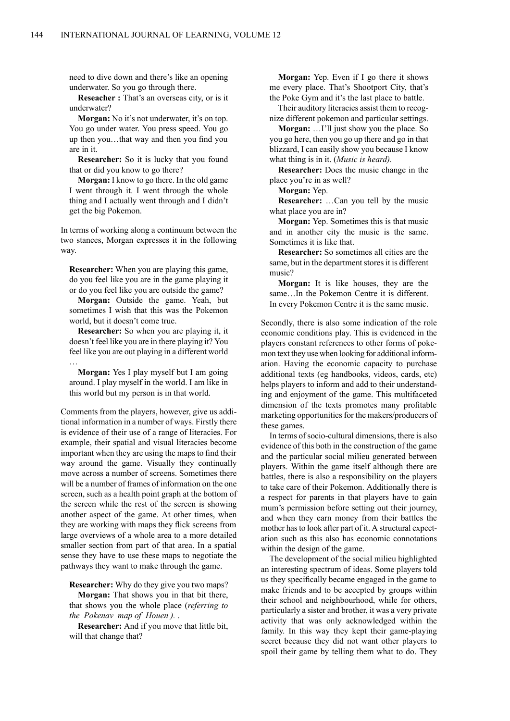need to dive down and there's like an opening underwater. So you go through there.

**Reseacher :** That's an overseas city, or is it underwater?

**Morgan:** No it's not underwater, it's on top. You go under water. You press speed. You go up then you…that way and then you find you are in it.

**Researcher:** So it is lucky that you found that or did you know to go there?

**Morgan:** I know to go there. In the old game I went through it. I went through the whole thing and I actually went through and I didn't get the big Pokemon.

In terms of working along a continuum between the two stances, Morgan expresses it in the following way.

**Researcher:** When you are playing this game, do you feel like you are in the game playing it or do you feel like you are outside the game?

**Morgan:** Outside the game. Yeah, but sometimes I wish that this was the Pokemon world, but it doesn't come true.

**Researcher:** So when you are playing it, it doesn't feel like you are in there playing it? You feel like you are out playing in a different world …

**Morgan:** Yes I play myself but I am going around. I play myself in the world. I am like in this world but my person is in that world.

Comments from the players, however, give us additional information in a number of ways. Firstly there is evidence of their use of a range of literacies. For example, their spatial and visual literacies become important when they are using the maps to find their way around the game. Visually they continually move across a number of screens. Sometimes there will be a number of frames of information on the one screen, such as a health point graph at the bottom of the screen while the rest of the screen is showing another aspect of the game. At other times, when they are working with maps they flick screens from large overviews of a whole area to a more detailed smaller section from part of that area. In a spatial sense they have to use these maps to negotiate the pathways they want to make through the game.

**Researcher:** Why do they give you two maps?

**Morgan:** That shows you in that bit there, that shows you the whole place (*referring to the Pokenav map of Houen ).* .

**Researcher:** And if you move that little bit, will that change that?

**Morgan:** Yep. Even if I go there it shows me every place. That's Shootport City, that's the Poke Gym and it's the last place to battle.

Their auditory literacies assist them to recognize different pokemon and particular settings.

**Morgan:** …I'll just show you the place. So you go here, then you go up there and go in that blizzard, I can easily show you because I know what thing is in it. (*Music is heard).*

**Researcher:** Does the music change in the place you're in as well?

**Morgan:** Yep.

**Researcher:** …Can you tell by the music what place you are in?

**Morgan:** Yep. Sometimes this is that music and in another city the music is the same. Sometimes it is like that.

**Researcher:** So sometimes all cities are the same, but in the department stores it is different music?

**Morgan:** It is like houses, they are the same…In the Pokemon Centre it is different. In every Pokemon Centre it is the same music.

Secondly, there is also some indication of the role economic conditions play. This is evidenced in the players constant references to other forms of pokemon text they use when looking for additional information. Having the economic capacity to purchase additional texts (eg handbooks, videos, cards, etc) helps players to inform and add to their understanding and enjoyment of the game. This multifaceted dimension of the texts promotes many profitable marketing opportunities for the makers/producers of these games.

In terms of socio-cultural dimensions, there is also evidence of this both in the construction of the game and the particular social milieu generated between players. Within the game itself although there are battles, there is also a responsibility on the players to take care of their Pokemon. Additionally there is a respect for parents in that players have to gain mum's permission before setting out their journey, and when they earn money from their battles the mother has to look after part of it. A structural expectation such as this also has economic connotations within the design of the game.

The development of the social milieu highlighted an interesting spectrum of ideas. Some players told us they specifically became engaged in the game to make friends and to be accepted by groups within their school and neighbourhood, while for others, particularly a sister and brother, it was a very private activity that was only acknowledged within the family. In this way they kept their game-playing secret because they did not want other players to spoil their game by telling them what to do. They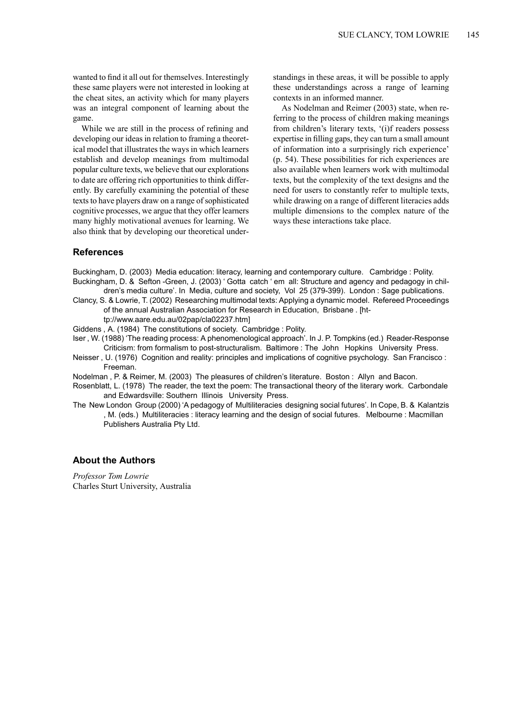wanted to find it all out for themselves. Interestingly these same players were not interested in looking at the cheat sites, an activity which for many players was an integral component of learning about the game.

While we are still in the process of refining and developing our ideas in relation to framing a theoretical model that illustrates the ways in which learners establish and develop meanings from multimodal popular culture texts, we believe that our explorations to date are offering rich opportunities to think differently. By carefully examining the potential of these texts to have players draw on a range of sophisticated cognitive processes, we argue that they offer learners many highly motivational avenues for learning. We also think that by developing our theoretical understandings in these areas, it will be possible to apply these understandings across a range of learning contexts in an informed manner.

As Nodelman and Reimer (2003) state, when referring to the process of children making meanings from children's literary texts, '(i)f readers possess expertise in filling gaps, they can turn a small amount of information into a surprisingly rich experience' (p. 54). These possibilities for rich experiences are also available when learners work with multimodal texts, but the complexity of the text designs and the need for users to constantly refer to multiple texts, while drawing on a range of different literacies adds multiple dimensions to the complex nature of the ways these interactions take place.

## **References**

Buckingham, D. (2003) Media education: literacy, learning and contemporary culture. Cambridge : Polity. Buckingham, D. & Sefton -Green, J. (2003) ' Gotta catch ' em all: Structure and agency and pedagogy in children's media culture'. In Media, culture and society, Vol 25 (379-399). London : Sage publications.

Clancy, S. & Lowrie, T. (2002) Researching multimodal texts: Applying a dynamic model. Refereed Proceedings of the annual Australian Association for Research in Education, Brisbane . [ht-

tp://www.aare.edu.au/02pap/cla02237.htm]

Giddens , A. (1984) The constitutions of society. Cambridge : Polity.

Iser , W. (1988) 'The reading process: A phenomenological approach'. In J. P. Tompkins (ed.) Reader-Response Criticism: from formalism to post-structuralism. Baltimore : The John Hopkins University Press.

Neisser , U. (1976) Cognition and reality: principles and implications of cognitive psychology. San Francisco : Freeman.

Nodelman , P. & Reimer, M. (2003) The pleasures of children's literature. Boston : Allyn and Bacon.

- Rosenblatt, L. (1978) The reader, the text the poem: The transactional theory of the literary work. Carbondale and Edwardsville: Southern Illinois University Press.
- The New London Group (2000) 'A pedagogy of Multiliteracies designing social futures'. In Cope, B. & Kalantzis , M. (eds.) Multiliteracies : literacy learning and the design of social futures. Melbourne : Macmillan Publishers Australia Pty Ltd.

## **About the Authors**

*Professor Tom Lowrie* Charles Sturt University, Australia